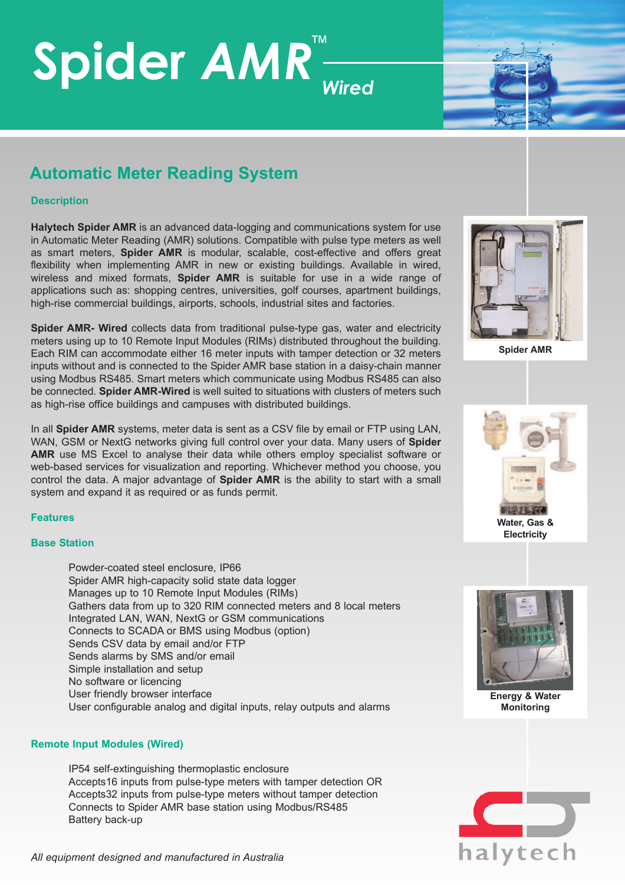## **Spider** *AMR* ™ *Wired*



### **Automatic Meter Reading System**

#### **Description**

**Halytech Spider AMR** is an advanced data-logging and communications system for use in Automatic Meter Reading (AMR) solutions. Compatible with pulse type meters as well as smart meters, **Spider AMR** is modular, scalable, cost-effective and offers great flexibility when implementing AMR in new or existing buildings. Available in wired, wireless and mixed formats, **Spider AMR** is suitable for use in a wide range of applications such as: shopping centres, universities, golf courses, apartment buildings, high-rise commercial buildings, airports, schools, industrial sites and factories.

**Spider AMR- Wired** collects data from traditional pulse-type gas, water and electricity meters using up to 10 Remote Input Modules (RIMs) distributed throughout the building. Each RIM can accommodate either 16 meter inputs with tamper detection or 32 meters inputs without and is connected to the Spider AMR base station in a daisy-chain manner using Modbus RS485. Smart meters which communicate using Modbus RS485 can also be connected. **Spider AMR-Wired** is well suited to situations with clusters of meters such as high-rise office buildings and campuses with distributed buildings.

In all **Spider AMR** systems, meter data is sent as a CSV file by email or FTP using LAN, WAN, GSM or NextG networks giving full control over your data. Many users of **Spider AMR** use MS Excel to analyse their data while others employ specialist software or web-based services for visualization and reporting. Whichever method you choose, you control the data. A major advantage of **Spider AMR** is the ability to start with a small system and expand it as required or as funds permit.

#### **Features**

#### **Base Station**

Powder-coated steel enclosure, IP66 Spider AMR high-capacity solid state data logger Manages up to 10 Remote Input Modules (RIMs) Gathers data from up to 320 RIM connected meters and 8 local meters Integrated LAN, WAN, NextG or GSM communications Connects to SCADA or BMS using Modbus (option) Sends CSV data by email and/or FTP Sends alarms by SMS and/or email Simple installation and setup No software or licencing User friendly browser interface User configurable analog and digital inputs, relay outputs and alarms

#### **Remote Input Modules (Wired)**

IP54 self-extinguishing thermoplastic enclosure Accepts16 inputs from pulse-type meters with tamper detection OR Accepts32 inputs from pulse-type meters without tamper detection Connects to Spider AMR base station using Modbus/RS485 Battery back-up



**Spider AMR**



**Electricity**



**Energy & Water Monitoring**